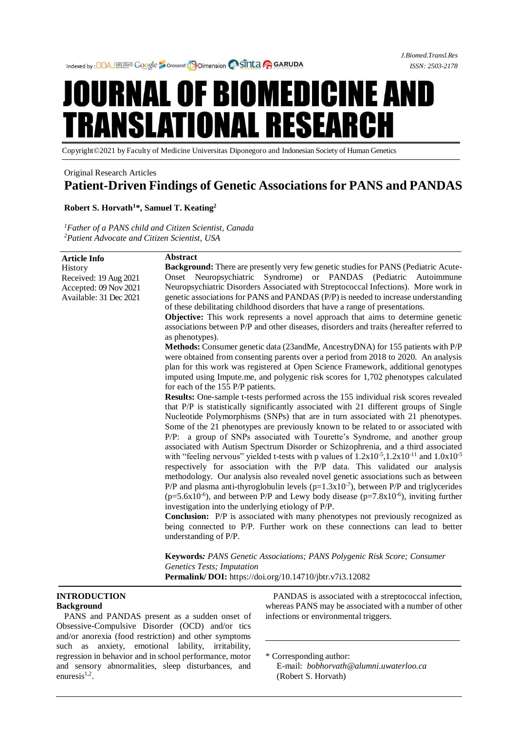*J.Biomed.Transl.Res ISSN: 2503-2178*

# JOURNAL OF BIOMEDICINE AND **FRANSLATIONAL RESEARCH**

Copyright©2021 by Faculty of Medicine Universitas Diponegoro and Indonesian Society of Human Genetics

# Original Research Articles **Patient-Driven Findings of Genetic Associations for PANS and PANDAS**

# **Robert S. Horvath<sup>1</sup>\*, Samuel T. Keating<sup>2</sup>**

*<sup>1</sup>Father of a PANS child and Citizen Scientist, Canada <sup>2</sup>Patient Advocate and Citizen Scientist, USA*

| <b>Article Info</b>    | <b>Abstract</b>                                                                                          |
|------------------------|----------------------------------------------------------------------------------------------------------|
| <b>History</b>         | <b>Background:</b> There are presently very few genetic studies for PANS (Pediatric Acute-               |
| Received: 19 Aug 2021  | Onset Neuropsychiatric Syndrome) or PANDAS (Pediatric Autoimmune                                         |
| Accepted: 09 Nov 2021  | Neuropsychiatric Disorders Associated with Streptococcal Infections). More work in                       |
| Available: 31 Dec 2021 | genetic associations for PANS and PANDAS (P/P) is needed to increase understanding                       |
|                        | of these debilitating childhood disorders that have a range of presentations.                            |
|                        | <b>Objective:</b> This work represents a novel approach that aims to determine genetic                   |
|                        | associations between P/P and other diseases, disorders and traits (hereafter referred to                 |
|                        | as phenotypes).                                                                                          |
|                        | Methods: Consumer genetic data (23andMe, AncestryDNA) for 155 patients with P/P                          |
|                        | were obtained from consenting parents over a period from 2018 to 2020. An analysis                       |
|                        | plan for this work was registered at Open Science Framework, additional genotypes                        |
|                        | imputed using Impute.me, and polygenic risk scores for 1,702 phenotypes calculated                       |
|                        | for each of the 155 P/P patients.                                                                        |
|                        | <b>Results:</b> One-sample t-tests performed across the 155 individual risk scores revealed              |
|                        | that P/P is statistically significantly associated with 21 different groups of Single                    |
|                        | Nucleotide Polymorphisms (SNPs) that are in turn associated with 21 phenotypes.                          |
|                        | Some of the 21 phenotypes are previously known to be related to or associated with                       |
|                        | P/P: a group of SNPs associated with Tourette's Syndrome, and another group                              |
|                        | associated with Autism Spectrum Disorder or Schizophrenia, and a third associated                        |
|                        | with "feeling nervous" yielded t-tests with p values of $1.2x10^{-5}$ , $1.2x10^{-11}$ and $1.0x10^{-5}$ |
|                        | respectively for association with the P/P data. This validated our analysis                              |
|                        | methodology. Our analysis also revealed novel genetic associations such as between                       |
|                        | P/P and plasma anti-thyroglobulin levels ( $p=1.3x10^{-7}$ ), between P/P and triglycerides              |
|                        | ( $p=5.6x10^{-6}$ ), and between P/P and Lewy body disease ( $p=7.8x10^{-6}$ ), inviting further         |
|                        | investigation into the underlying etiology of P/P.                                                       |
|                        | <b>Conclusion:</b> P/P is associated with many phenotypes not previously recognized as                   |
|                        | being connected to P/P. Further work on these connections can lead to better                             |
|                        | understanding of P/P.                                                                                    |
|                        |                                                                                                          |
|                        | <b>Keywords: PANS Genetic Associations; PANS Polygenic Risk Score; Consumer</b>                          |
|                        | Genetics Tests; Imputation                                                                               |

**Permalink/ DOI:** https://doi.org/10.14710/jbtr.v7i3.12082

# **INTRODUCTION Background**

PANS and PANDAS present as a sudden onset of Obsessive-Compulsive Disorder (OCD) and/or tics and/or anorexia (food restriction) and other symptoms such as anxiety, emotional lability, irritability, regression in behavior and in school performance, motor and sensory abnormalities, sleep disturbances, and enuresis $1,2$ .

PANDAS is associated with a streptococcal infection, whereas PANS may be associated with a number of other infections or environmental triggers.

\* Corresponding author: E-mail: *bobhorvath@alumni.uwaterloo.ca* (Robert S. Horvath)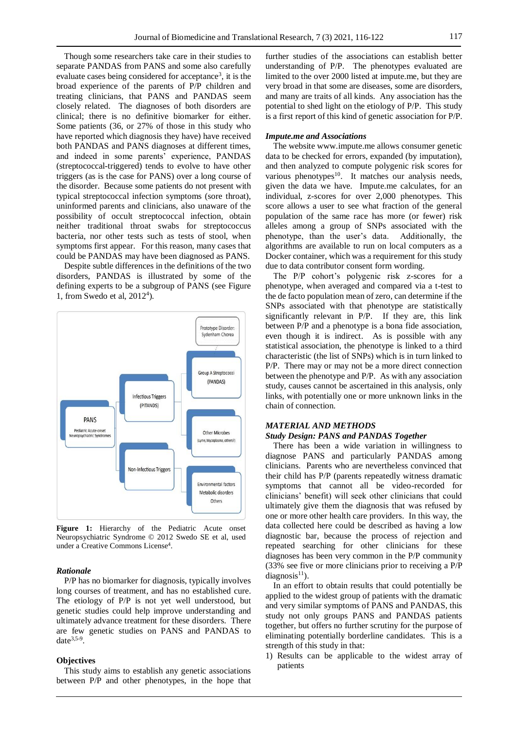Though some researchers take care in their studies to separate PANDAS from PANS and some also carefully evaluate cases being considered for acceptance<sup>3</sup>, it is the broad experience of the parents of P/P children and treating clinicians, that PANS and PANDAS seem closely related. The diagnoses of both disorders are clinical; there is no definitive biomarker for either. Some patients (36, or 27% of those in this study who have reported which diagnosis they have) have received both PANDAS and PANS diagnoses at different times, and indeed in some parents' experience, PANDAS (streptococcal-triggered) tends to evolve to have other triggers (as is the case for PANS) over a long course of the disorder. Because some patients do not present with typical streptococcal infection symptoms (sore throat), uninformed parents and clinicians, also unaware of the possibility of occult streptococcal infection, obtain neither traditional throat swabs for streptococcus bacteria, nor other tests such as tests of stool, when symptoms first appear. For this reason, many cases that could be PANDAS may have been diagnosed as PANS.

Despite subtle differences in the definitions of the two disorders, PANDAS is illustrated by some of the defining experts to be a subgroup of PANS (see Figure 1, from Swedo et al, 2012<sup>4</sup> ).



**Figure 1:** Hierarchy of the Pediatric Acute onset Neuropsychiatric Syndrome © 2012 Swedo SE et al, used under a Creative Commons License 4 .

#### *Rationale*

P/P has no biomarker for diagnosis, typically involves long courses of treatment, and has no established cure. The etiology of P/P is not yet well understood, but genetic studies could help improve understanding and ultimately advance treatment for these disorders. There are few genetic studies on PANS and PANDAS to date $3,5-9$ .

# **Objectives**

This study aims to establish any genetic associations between P/P and other phenotypes, in the hope that further studies of the associations can establish better understanding of P/P. The phenotypes evaluated are limited to the over 2000 listed at impute.me, but they are very broad in that some are diseases, some are disorders, and many are traits of all kinds. Any association has the potential to shed light on the etiology of P/P. This study is a first report of this kind of genetic association for P/P.

#### *Impute.me and Associations*

The website www.impute.me allows consumer genetic data to be checked for errors, expanded (by imputation), and then analyzed to compute polygenic risk scores for various phenotypes<sup>10</sup>. It matches our analysis needs, given the data we have. Impute.me calculates, for an individual, z-scores for over 2,000 phenotypes. This score allows a user to see what fraction of the general population of the same race has more (or fewer) risk alleles among a group of SNPs associated with the phenotype, than the user's data. Additionally, the algorithms are available to run on local computers as a Docker container, which was a requirement for this study due to data contributor consent form wording.

The P/P cohort's polygenic risk z-scores for a phenotype, when averaged and compared via a t-test to the de facto population mean of zero, can determine if the SNPs associated with that phenotype are statistically significantly relevant in P/P. If they are, this link between P/P and a phenotype is a bona fide association, even though it is indirect. As is possible with any statistical association, the phenotype is linked to a third characteristic (the list of SNPs) which is in turn linked to P/P. There may or may not be a more direct connection between the phenotype and P/P. As with any association study, causes cannot be ascertained in this analysis, only links, with potentially one or more unknown links in the chain of connection.

#### *MATERIAL AND METHODS*

## *Study Design: PANS and PANDAS Together*

There has been a wide variation in willingness to diagnose PANS and particularly PANDAS among clinicians. Parents who are nevertheless convinced that their child has P/P (parents repeatedly witness dramatic symptoms that cannot all be video-recorded for clinicians' benefit) will seek other clinicians that could ultimately give them the diagnosis that was refused by one or more other health care providers. In this way, the data collected here could be described as having a low diagnostic bar, because the process of rejection and repeated searching for other clinicians for these diagnoses has been very common in the P/P community (33% see five or more clinicians prior to receiving a P/P  $diagonosis<sup>11</sup>$ ).

In an effort to obtain results that could potentially be applied to the widest group of patients with the dramatic and very similar symptoms of PANS and PANDAS, this study not only groups PANS and PANDAS patients together, but offers no further scrutiny for the purpose of eliminating potentially borderline candidates. This is a strength of this study in that:

1) Results can be applicable to the widest array of patients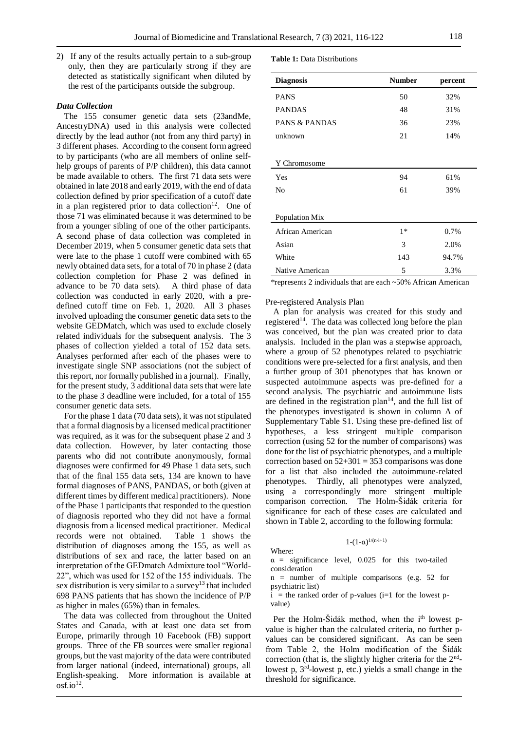2) If any of the results actually pertain to a sub-group only, then they are particularly strong if they are detected as statistically significant when diluted by the rest of the participants outside the subgroup.

#### *Data Collection*

The 155 consumer genetic data sets (23andMe, AncestryDNA) used in this analysis were collected directly by the lead author (not from any third party) in 3 different phases. According to the consent form agreed to by participants (who are all members of online selfhelp groups of parents of P/P children), this data cannot be made available to others. The first 71 data sets were obtained in late 2018 and early 2019, with the end of data collection defined by prior specification of a cutoff date in a plan registered prior to data collection $12$ . One of those 71 was eliminated because it was determined to be from a younger sibling of one of the other participants. A second phase of data collection was completed in December 2019, when 5 consumer genetic data sets that were late to the phase 1 cutoff were combined with 65 newly obtained data sets, for a total of 70 in phase 2 (data collection completion for Phase 2 was defined in advance to be 70 data sets). A third phase of data collection was conducted in early 2020, with a predefined cutoff time on Feb. 1, 2020. All 3 phases involved uploading the consumer genetic data sets to the website GEDMatch, which was used to exclude closely related individuals for the subsequent analysis. The 3 phases of collection yielded a total of 152 data sets. Analyses performed after each of the phases were to investigate single SNP associations (not the subject of this report, nor formally published in a journal). Finally, for the present study, 3 additional data sets that were late to the phase 3 deadline were included, for a total of 155 consumer genetic data sets.

For the phase 1 data (70 data sets), it was not stipulated that a formal diagnosis by a licensed medical practitioner was required, as it was for the subsequent phase 2 and 3 data collection. However, by later contacting those parents who did not contribute anonymously, formal diagnoses were confirmed for 49 Phase 1 data sets, such that of the final 155 data sets, 134 are known to have formal diagnoses of PANS, PANDAS, or both (given at different times by different medical practitioners). None of the Phase 1 participants that responded to the question of diagnosis reported who they did not have a formal diagnosis from a licensed medical practitioner. Medical records were not obtained. Table 1 shows the distribution of diagnoses among the 155, as well as distributions of sex and race, the latter based on an interpretation of the GEDmatch Admixture tool "World-22", which was used for 152 of the 155 individuals. The sex distribution is very similar to a survey<sup>13</sup> that included 698 PANS patients that has shown the incidence of P/P as higher in males (65%) than in females.

The data was collected from throughout the United States and Canada, with at least one data set from Europe, primarily through 10 Facebook (FB) support groups. Three of the FB sources were smaller regional groups, but the vast majority of the data were contributed from larger national (indeed, international) groups, all English-speaking. More information is available at  $\mathrm{osf.io}^{12}$ .

# **Table 1:** Data Distributions

| <b>Diagnosis</b>         | <b>Number</b> | percent |
|--------------------------|---------------|---------|
| <b>PANS</b>              | 50            | 32%     |
| <b>PANDAS</b>            | 48            | 31%     |
| <b>PANS &amp; PANDAS</b> | 36            | 23%     |
| unknown                  | 21            | 14%     |
|                          |               |         |
| Y Chromosome             |               |         |
| Yes                      | 94            | 61%     |
| No                       | 61            | 39%     |
|                          |               |         |
| Population Mix           |               |         |
| African American         | $1*$          | 0.7%    |
| Asian                    | 3             | 2.0%    |
| White                    | 143           | 94.7%   |
| Native American          | 5             | 3.3%    |

\*represents 2 individuals that are each ~50% African American

## Pre-registered Analysis Plan

A plan for analysis was created for this study and registered<sup>14</sup>. The data was collected long before the plan was conceived, but the plan was created prior to data analysis. Included in the plan was a stepwise approach, where a group of 52 phenotypes related to psychiatric conditions were pre-selected for a first analysis, and then a further group of 301 phenotypes that has known or suspected autoimmune aspects was pre-defined for a second analysis. The psychiatric and autoimmune lists are defined in the registration  $plan<sup>14</sup>$ , and the full list of the phenotypes investigated is shown in column A of Supplementary Table S1. Using these pre-defined list of hypotheses, a less stringent multiple comparison correction (using 52 for the number of comparisons) was done for the list of psychiatric phenotypes, and a multiple correction based on  $52+301 = 353$  comparisons was done for a list that also included the autoimmune-related phenotypes. Thirdly, all phenotypes were analyzed, using a correspondingly more stringent multiple comparison correction. The Holm-Šidák criteria for significance for each of these cases are calculated and shown in Table 2, according to the following formula:

$$
1\text{-}(1\text{-}\alpha)^{1/(n\text{-}i+1)}
$$

 $\alpha$  = significance level, 0.025 for this two-tailed consideration

Where:

n = number of multiple comparisons (e.g. 52 for psychiatric list)

 $i =$  the ranked order of p-values (i=1 for the lowest pvalue)

Per the Holm-Šidák method, when the i<sup>th</sup> lowest pvalue is higher than the calculated criteria, no further pvalues can be considered significant. As can be seen from Table 2, the Holm modification of the Šidák correction (that is, the slightly higher criteria for the  $2<sup>nd</sup>$ lowest p, 3<sup>rd</sup>-lowest p, etc.) yields a small change in the threshold for significance.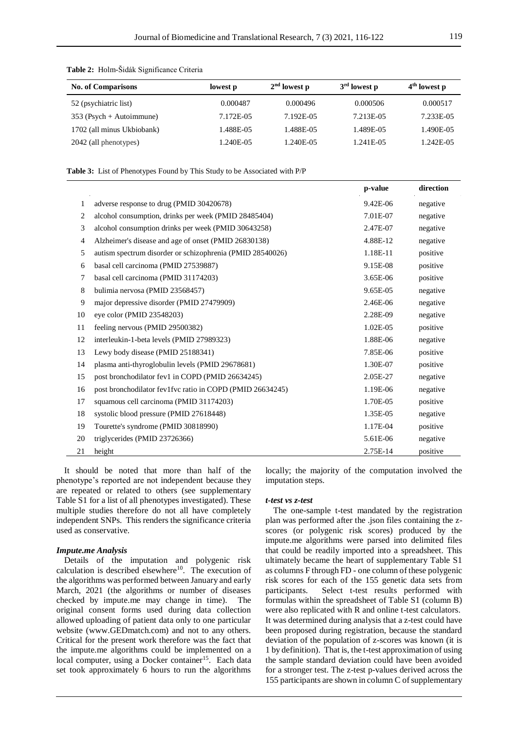| <b>No. of Comparisons</b>  | lowest p  | $2nd$ lowest p | $3rd$ lowest p | 4 <sup>th</sup> lowest p |
|----------------------------|-----------|----------------|----------------|--------------------------|
| 52 (psychiatric list)      | 0.000487  | 0.000496       | 0.000506       | 0.000517                 |
| $353$ (Psych + Autoimmune) | 7.172E-05 | 7.192E-05      | 7.213E-05      | 7.233E-05                |
| 1702 (all minus Ukbiobank) | 1.488E-05 | 1.488E-05      | 1.489E-05      | 1.490E-05                |
| 2042 (all phenotypes)      | 1.240E-05 | 1.240E-05      | 1.241 E-05     | 1.242E-05                |

#### **Table 2:** Holm-Šidák Significance Criteria

**Table 3:** List of Phenotypes Found by This Study to be Associated with P/P

|    |                                                           | p-value  | direction |
|----|-----------------------------------------------------------|----------|-----------|
| 1  | adverse response to drug (PMID 30420678)                  | 9.42E-06 | negative  |
| 2  | alcohol consumption, drinks per week (PMID 28485404)      | 7.01E-07 | negative  |
| 3  | alcohol consumption drinks per week (PMID 30643258)       | 2.47E-07 | negative  |
| 4  | Alzheimer's disease and age of onset (PMID 26830138)      | 4.88E-12 | negative  |
| 5  | autism spectrum disorder or schizophrenia (PMID 28540026) | 1.18E-11 | positive  |
| 6  | basal cell carcinoma (PMID 27539887)                      | 9.15E-08 | positive  |
| 7  | basal cell carcinoma (PMID 31174203)                      | 3.65E-06 | positive  |
| 8  | bulimia nervosa (PMID 23568457)                           | 9.65E-05 | negative  |
| 9  | major depressive disorder (PMID 27479909)                 | 2.46E-06 | negative  |
| 10 | eye color (PMID 23548203)                                 | 2.28E-09 | negative  |
| 11 | feeling nervous (PMID 29500382)                           | 1.02E-05 | positive  |
| 12 | interleukin-1-beta levels (PMID 27989323)                 | 1.88E-06 | negative  |
| 13 | Lewy body disease (PMID 25188341)                         | 7.85E-06 | positive  |
| 14 | plasma anti-thyroglobulin levels (PMID 29678681)          | 1.30E-07 | positive  |
| 15 | post bronchodilator fev1 in COPD (PMID 26634245)          | 2.05E-27 | negative  |
| 16 | post bronchodilator fev1fvc ratio in COPD (PMID 26634245) | 1.19E-06 | negative  |
| 17 | squamous cell carcinoma (PMID 31174203)                   | 1.70E-05 | positive  |
| 18 | systolic blood pressure (PMID 27618448)                   | 1.35E-05 | negative  |
| 19 | Tourette's syndrome (PMID 30818990)                       | 1.17E-04 | positive  |
| 20 | triglycerides (PMID 23726366)                             | 5.61E-06 | negative  |
| 21 | height                                                    | 2.75E-14 | positive  |

It should be noted that more than half of the phenotype's reported are not independent because they are repeated or related to others (see supplementary Table S1 for a list of all phenotypes investigated). These multiple studies therefore do not all have completely independent SNPs. This renders the significance criteria used as conservative.

## *Impute.me Analysis*

Details of the imputation and polygenic risk calculation is described elsewhere<sup>10</sup>. The execution of the algorithms was performed between January and early March, 2021 (the algorithms or number of diseases checked by impute.me may change in time). The original consent forms used during data collection allowed uploading of patient data only to one particular website (www.GEDmatch.com) and not to any others. Critical for the present work therefore was the fact that the impute.me algorithms could be implemented on a local computer, using a Docker container<sup>15</sup>. Each data set took approximately 6 hours to run the algorithms

locally; the majority of the computation involved the imputation steps.

#### *t-test vs z-test*

The one-sample t-test mandated by the registration plan was performed after the .json files containing the zscores (or polygenic risk scores) produced by the impute.me algorithms were parsed into delimited files that could be readily imported into a spreadsheet. This ultimately became the heart of supplementary Table S1 as columns F through FD - one column of these polygenic risk scores for each of the 155 genetic data sets from participants. Select t-test results performed with formulas within the spreadsheet of Table S1 (column B) were also replicated with R and online t-test calculators. It was determined during analysis that a z-test could have been proposed during registration, because the standard deviation of the population of z-scores was known (it is 1 by definition). That is, the t-test approximation of using the sample standard deviation could have been avoided for a stronger test. The z-test p-values derived across the 155 participants are shown in column C of supplementary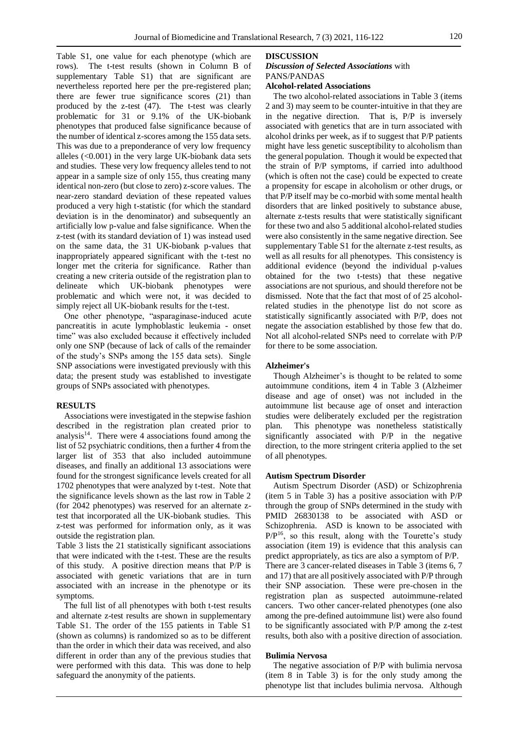Table S1, one value for each phenotype (which are rows). The t-test results (shown in Column B of supplementary Table S1) that are significant are nevertheless reported here per the pre-registered plan; there are fewer true significance scores (21) than produced by the z-test (47). The t-test was clearly problematic for 31 or 9.1% of the UK-biobank phenotypes that produced false significance because of the number of identical z-scores among the 155 data sets. This was due to a preponderance of very low frequency alleles (<0.001) in the very large UK-biobank data sets and studies. These very low frequency alleles tend to not appear in a sample size of only 155, thus creating many identical non-zero (but close to zero) z-score values. The near-zero standard deviation of these repeated values produced a very high t-statistic (for which the standard deviation is in the denominator) and subsequently an artificially low p-value and false significance. When the z-test (with its standard deviation of 1) was instead used on the same data, the 31 UK-biobank p-values that inappropriately appeared significant with the t-test no longer met the criteria for significance. Rather than creating a new criteria outside of the registration plan to delineate which UK-biobank phenotypes were problematic and which were not, it was decided to simply reject all UK-biobank results for the t-test.

One other phenotype, "asparaginase-induced acute pancreatitis in acute lymphoblastic leukemia - onset time" was also excluded because it effectively included only one SNP (because of lack of calls of the remainder of the study's SNPs among the 155 data sets). Single SNP associations were investigated previously with this data; the present study was established to investigate groups of SNPs associated with phenotypes.

#### **RESULTS**

Associations were investigated in the stepwise fashion described in the registration plan created prior to analysis<sup>14</sup>. There were 4 associations found among the list of 52 psychiatric conditions, then a further 4 from the larger list of 353 that also included autoimmune diseases, and finally an additional 13 associations were found for the strongest significance levels created for all 1702 phenotypes that were analyzed by t-test. Note that the significance levels shown as the last row in Table 2 (for 2042 phenotypes) was reserved for an alternate ztest that incorporated all the UK-biobank studies. This z-test was performed for information only, as it was outside the registration plan.

Table 3 lists the 21 statistically significant associations that were indicated with the t-test. These are the results of this study. A positive direction means that P/P is associated with genetic variations that are in turn associated with an increase in the phenotype or its symptoms.

The full list of all phenotypes with both t-test results and alternate z-test results are shown in supplementary Table S1. The order of the 155 patients in Table S1 (shown as columns) is randomized so as to be different than the order in which their data was received, and also different in order than any of the previous studies that were performed with this data. This was done to help safeguard the anonymity of the patients.

#### **DISCUSSION**

# *Discussion of Selected Associations* with

#### PANS/PANDAS **Alcohol-related Associations**

The two alcohol-related associations in Table 3 (items 2 and 3) may seem to be counter-intuitive in that they are in the negative direction. That is, P/P is inversely associated with genetics that are in turn associated with alcohol drinks per week, as if to suggest that P/P patients might have less genetic susceptibility to alcoholism than the general population. Though it would be expected that the strain of P/P symptoms, if carried into adulthood (which is often not the case) could be expected to create a propensity for escape in alcoholism or other drugs, or that P/P itself may be co-morbid with some mental health disorders that are linked positively to substance abuse, alternate z-tests results that were statistically significant for these two and also 5 additional alcohol-related studies were also consistently in the same negative direction. See supplementary Table S1 for the alternate z-test results, as well as all results for all phenotypes. This consistency is additional evidence (beyond the individual p-values obtained for the two t-tests) that these negative associations are not spurious, and should therefore not be dismissed. Note that the fact that most of of 25 alcoholrelated studies in the phenotype list do not score as statistically significantly associated with P/P, does not negate the association established by those few that do. Not all alcohol-related SNPs need to correlate with P/P for there to be some association.

# **Alzheimer's**

Though Alzheimer's is thought to be related to some autoimmune conditions, item 4 in Table 3 (Alzheimer disease and age of onset) was not included in the autoimmune list because age of onset and interaction studies were deliberately excluded per the registration plan. This phenotype was nonetheless statistically significantly associated with P/P in the negative direction, to the more stringent criteria applied to the set of all phenotypes.

#### **Autism Spectrum Disorder**

Autism Spectrum Disorder (ASD) or Schizophrenia (item 5 in Table 3) has a positive association with P/P through the group of SNPs determined in the study with PMID 26830138 to be associated with ASD or Schizophrenia. ASD is known to be associated with  $P/P<sup>16</sup>$ , so this result, along with the Tourette's study association (item 19) is evidence that this analysis can predict appropriately, as tics are also a symptom of P/P. There are 3 cancer-related diseases in Table 3 (items 6, 7 and 17) that are all positively associated with P/P through their SNP association. These were pre-chosen in the registration plan as suspected autoimmune-related cancers. Two other cancer-related phenotypes (one also among the pre-defined autoimmune list) were also found to be significantly associated with P/P among the z-test results, both also with a positive direction of association.

#### **Bulimia Nervosa**

The negative association of P/P with bulimia nervosa (item 8 in Table 3) is for the only study among the phenotype list that includes bulimia nervosa. Although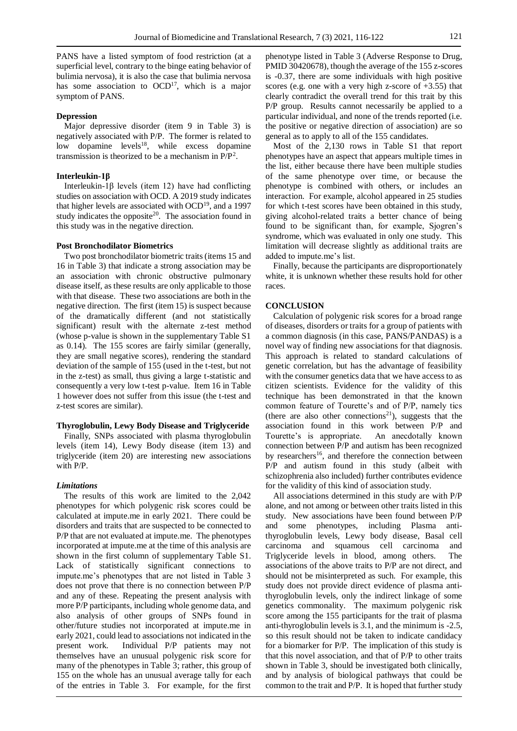PANS have a listed symptom of food restriction (at a superficial level, contrary to the binge eating behavior of bulimia nervosa), it is also the case that bulimia nervosa has some association to  $OCD<sup>17</sup>$ , which is a major symptom of PANS.

#### **Depression**

Major depressive disorder (item 9 in Table 3) is negatively associated with P/P. The former is related to low dopamine levels<sup>18</sup>, while excess dopamine transmission is theorized to be a mechanism in  $P/P<sup>2</sup>$ .

# **Interleukin-1β**

Interleukin-1β levels (item 12) have had conflicting studies on association with OCD. A 2019 study indicates that higher levels are associated with  $OCD<sup>19</sup>$ , and a 1997 study indicates the opposite<sup>20</sup>. The association found in this study was in the negative direction.

#### **Post Bronchodilator Biometrics**

Two post bronchodilator biometric traits (items 15 and 16 in Table 3) that indicate a strong association may be an association with chronic obstructive pulmonary disease itself, as these results are only applicable to those with that disease. These two associations are both in the negative direction. The first (item 15) is suspect because of the dramatically different (and not statistically significant) result with the alternate z-test method (whose p-value is shown in the supplementary Table S1 as 0.14). The 155 scores are fairly similar (generally, they are small negative scores), rendering the standard deviation of the sample of 155 (used in the t-test, but not in the z-test) as small, thus giving a large t-statistic and consequently a very low t-test p-value. Item 16 in Table 1 however does not suffer from this issue (the t-test and z-test scores are similar).

## **Thyroglobulin, Lewy Body Disease and Triglyceride**

Finally, SNPs associated with plasma thyroglobulin levels (item 14), Lewy Body disease (item 13) and triglyceride (item 20) are interesting new associations with P/P.

#### *Limitations*

The results of this work are limited to the 2,042 phenotypes for which polygenic risk scores could be calculated at impute.me in early 2021. There could be disorders and traits that are suspected to be connected to P/P that are not evaluated at impute.me. The phenotypes incorporated at impute.me at the time of this analysis are shown in the first column of supplementary Table S1. Lack of statistically significant connections to impute.me's phenotypes that are not listed in Table 3 does not prove that there is no connection between P/P and any of these. Repeating the present analysis with more P/P participants, including whole genome data, and also analysis of other groups of SNPs found in other/future studies not incorporated at impute.me in early 2021, could lead to associations not indicated in the present work. Individual P/P patients may not themselves have an unusual polygenic risk score for many of the phenotypes in Table 3; rather, this group of 155 on the whole has an unusual average tally for each of the entries in Table 3. For example, for the first

phenotype listed in Table 3 (Adverse Response to Drug, PMID 30420678), though the average of the 155 z-scores is -0.37, there are some individuals with high positive scores (e.g. one with a very high z-score of  $+3.55$ ) that clearly contradict the overall trend for this trait by this P/P group. Results cannot necessarily be applied to a particular individual, and none of the trends reported (i.e. the positive or negative direction of association) are so general as to apply to all of the 155 candidates.

Most of the 2,130 rows in Table S1 that report phenotypes have an aspect that appears multiple times in the list, either because there have been multiple studies of the same phenotype over time, or because the phenotype is combined with others, or includes an interaction. For example, alcohol appeared in 25 studies for which t-test scores have been obtained in this study, giving alcohol-related traits a better chance of being found to be significant than, for example, Sjogren's syndrome, which was evaluated in only one study. This limitation will decrease slightly as additional traits are added to impute.me's list.

Finally, because the participants are disproportionately white, it is unknown whether these results hold for other races.

#### **CONCLUSION**

Calculation of polygenic risk scores for a broad range of diseases, disorders or traits for a group of patients with a common diagnosis (in this case, PANS/PANDAS) is a novel way of finding new associations for that diagnosis. This approach is related to standard calculations of genetic correlation, but has the advantage of feasibility with the consumer genetics data that we have access to as citizen scientists. Evidence for the validity of this technique has been demonstrated in that the known common feature of Tourette's and of P/P, namely tics (there are also other connections<sup>21</sup>), suggests that the association found in this work between P/P and Tourette's is appropriate. An anecdotally known connection between P/P and autism has been recognized by researchers<sup>16</sup>, and therefore the connection between P/P and autism found in this study (albeit with schizophrenia also included) further contributes evidence for the validity of this kind of association study.

All associations determined in this study are with P/P alone, and not among or between other traits listed in this study. New associations have been found between P/P and some phenotypes, including Plasma antithyroglobulin levels, Lewy body disease, Basal cell carcinoma and squamous cell carcinoma and Triglyceride levels in blood, among others. The associations of the above traits to P/P are not direct, and should not be misinterpreted as such. For example, this study does not provide direct evidence of plasma antithyroglobulin levels, only the indirect linkage of some genetics commonality. The maximum polygenic risk score among the 155 participants for the trait of plasma anti-thyroglobulin levels is 3.1, and the minimum is -2.5, so this result should not be taken to indicate candidacy for a biomarker for P/P. The implication of this study is that this novel association, and that of P/P to other traits shown in Table 3, should be investigated both clinically, and by analysis of biological pathways that could be common to the trait and P/P. It is hoped that further study